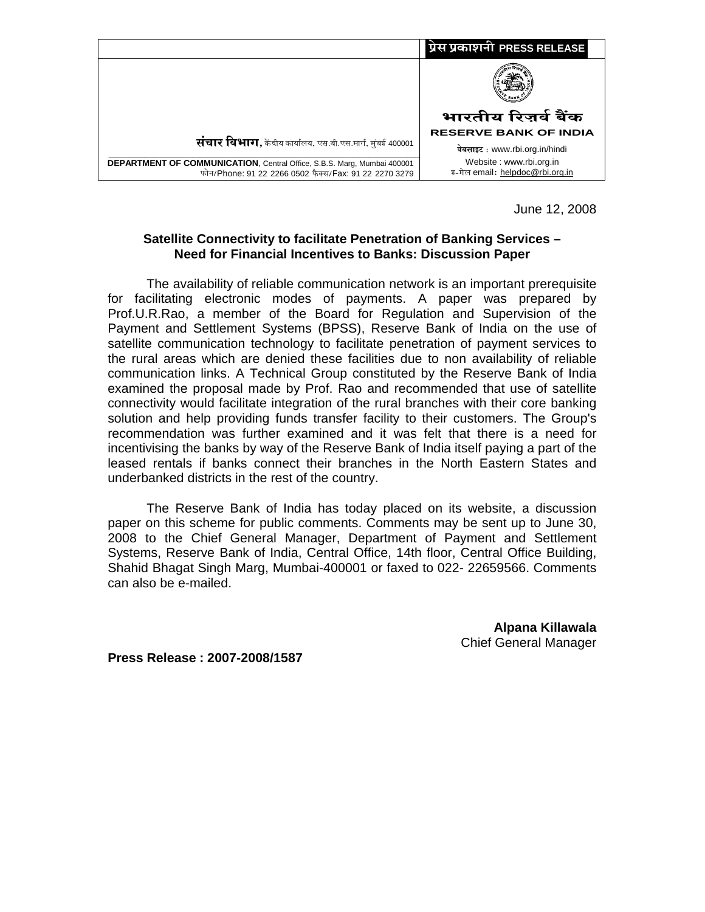

June 12, 2008

# **Satellite Connectivity to facilitate Penetration of Banking Services – Need for Financial Incentives to Banks: Discussion Paper**

The availability of reliable communication network is an important prerequisite for facilitating electronic modes of payments. A paper was prepared by Prof.U.R.Rao, a member of the Board for Regulation and Supervision of the Payment and Settlement Systems (BPSS), Reserve Bank of India on the use of satellite communication technology to facilitate penetration of payment services to the rural areas which are denied these facilities due to non availability of reliable communication links. A Technical Group constituted by the Reserve Bank of India examined the proposal made by Prof. Rao and recommended that use of satellite connectivity would facilitate integration of the rural branches with their core banking solution and help providing funds transfer facility to their customers. The Group's recommendation was further examined and it was felt that there is a need for incentivising the banks by way of the Reserve Bank of India itself paying a part of the leased rentals if banks connect their branches in the North Eastern States and underbanked districts in the rest of the country.

The Reserve Bank of India has today placed on its website, a discussion paper on this scheme for public comments. Comments may be sent up to June 30, 2008 to the Chief General Manager, Department of Payment and Settlement Systems, Reserve Bank of India, Central Office, 14th floor, Central Office Building, Shahid Bhagat Singh Marg, Mumbai-400001 or faxed to 022- 22659566. Comments can also be e-mailed.

> **Alpana Killawala**  Chief General Manager

**Press Release : 2007-2008/1587**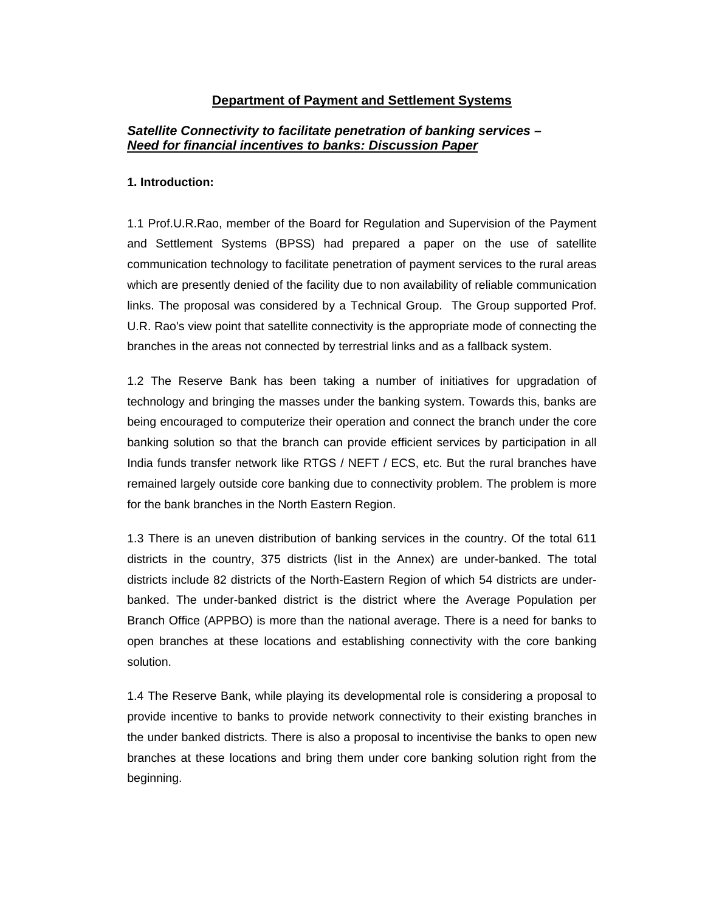## **Department of Payment and Settlement Systems**

# *Satellite Connectivity to facilitate penetration of banking services – Need for financial incentives to banks: Discussion Paper*

#### **1. Introduction:**

1.1 Prof.U.R.Rao, member of the Board for Regulation and Supervision of the Payment and Settlement Systems (BPSS) had prepared a paper on the use of satellite communication technology to facilitate penetration of payment services to the rural areas which are presently denied of the facility due to non availability of reliable communication links. The proposal was considered by a Technical Group. The Group supported Prof. U.R. Rao's view point that satellite connectivity is the appropriate mode of connecting the branches in the areas not connected by terrestrial links and as a fallback system.

1.2 The Reserve Bank has been taking a number of initiatives for upgradation of technology and bringing the masses under the banking system. Towards this, banks are being encouraged to computerize their operation and connect the branch under the core banking solution so that the branch can provide efficient services by participation in all India funds transfer network like RTGS / NEFT / ECS, etc. But the rural branches have remained largely outside core banking due to connectivity problem. The problem is more for the bank branches in the North Eastern Region.

1.3 There is an uneven distribution of banking services in the country. Of the total 611 districts in the country, 375 districts (list in the Annex) are under-banked. The total districts include 82 districts of the North-Eastern Region of which 54 districts are underbanked. The under-banked district is the district where the Average Population per Branch Office (APPBO) is more than the national average. There is a need for banks to open branches at these locations and establishing connectivity with the core banking solution.

1.4 The Reserve Bank, while playing its developmental role is considering a proposal to provide incentive to banks to provide network connectivity to their existing branches in the under banked districts. There is also a proposal to incentivise the banks to open new branches at these locations and bring them under core banking solution right from the beginning.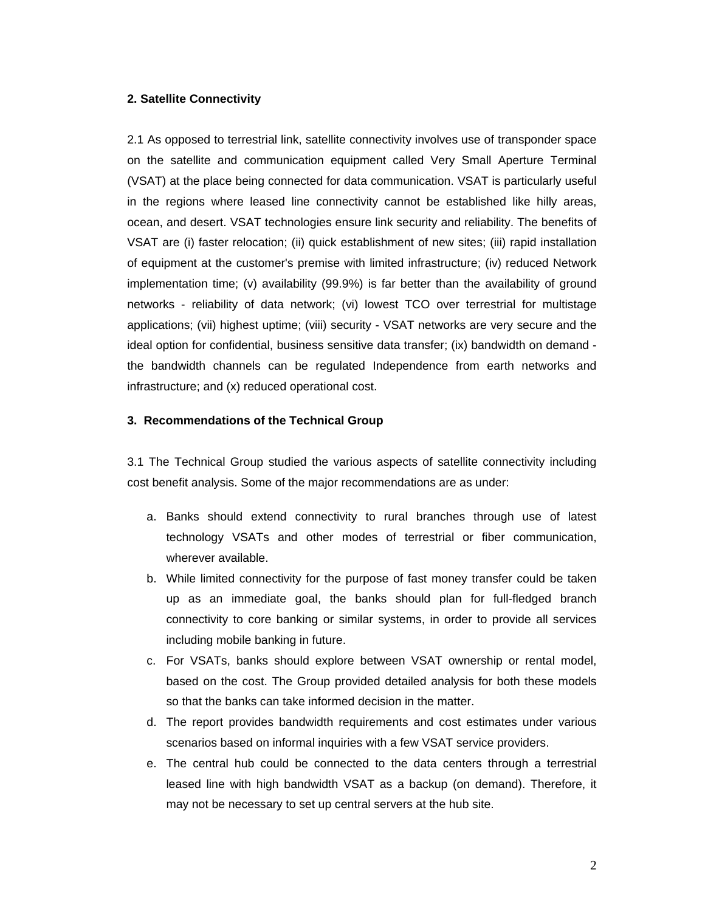## **2. Satellite Connectivity**

2.1 As opposed to terrestrial link, satellite connectivity involves use of transponder space on the satellite and communication equipment called Very Small Aperture Terminal (VSAT) at the place being connected for data communication. VSAT is particularly useful in the regions where leased line connectivity cannot be established like hilly areas, ocean, and desert. VSAT technologies ensure link security and reliability. The benefits of VSAT are (i) faster relocation; (ii) quick establishment of new sites; (iii) rapid installation of equipment at the customer's premise with limited infrastructure; (iv) reduced Network implementation time; (v) availability (99.9%) is far better than the availability of ground networks - reliability of data network; (vi) lowest TCO over terrestrial for multistage applications; (vii) highest uptime; (viii) security - VSAT networks are very secure and the ideal option for confidential, business sensitive data transfer; (ix) bandwidth on demand the bandwidth channels can be regulated Independence from earth networks and infrastructure; and (x) reduced operational cost.

## **3. Recommendations of the Technical Group**

3.1 The Technical Group studied the various aspects of satellite connectivity including cost benefit analysis. Some of the major recommendations are as under:

- a. Banks should extend connectivity to rural branches through use of latest technology VSATs and other modes of terrestrial or fiber communication, wherever available.
- b. While limited connectivity for the purpose of fast money transfer could be taken up as an immediate goal, the banks should plan for full-fledged branch connectivity to core banking or similar systems, in order to provide all services including mobile banking in future.
- c. For VSATs, banks should explore between VSAT ownership or rental model, based on the cost. The Group provided detailed analysis for both these models so that the banks can take informed decision in the matter.
- d. The report provides bandwidth requirements and cost estimates under various scenarios based on informal inquiries with a few VSAT service providers.
- e. The central hub could be connected to the data centers through a terrestrial leased line with high bandwidth VSAT as a backup (on demand). Therefore, it may not be necessary to set up central servers at the hub site.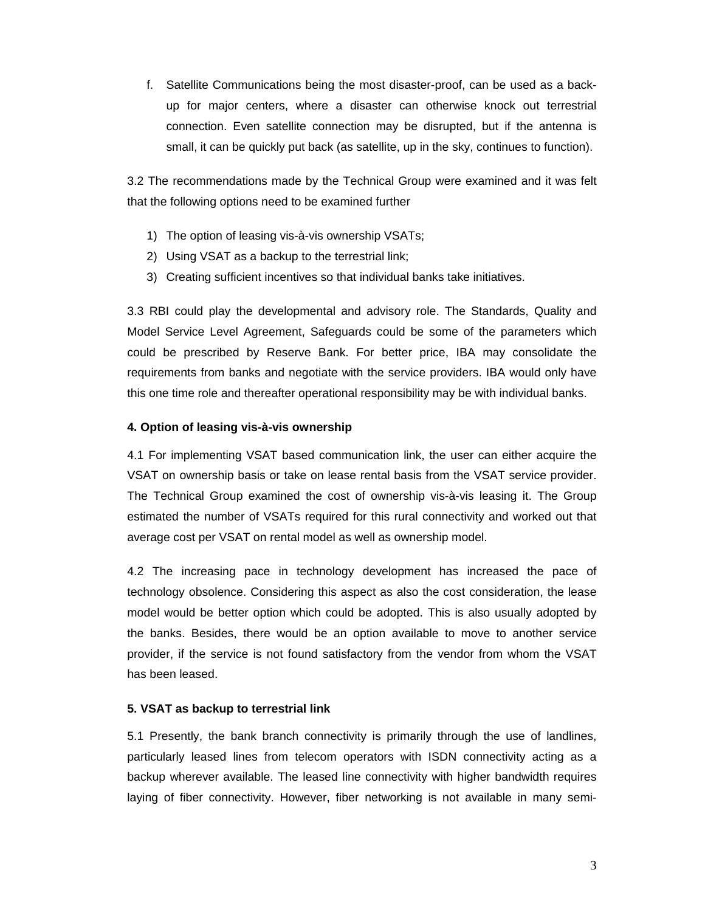f. Satellite Communications being the most disaster-proof, can be used as a backup for major centers, where a disaster can otherwise knock out terrestrial connection. Even satellite connection may be disrupted, but if the antenna is small, it can be quickly put back (as satellite, up in the sky, continues to function).

3.2 The recommendations made by the Technical Group were examined and it was felt that the following options need to be examined further

- 1) The option of leasing vis-à-vis ownership VSATs;
- 2) Using VSAT as a backup to the terrestrial link;
- 3) Creating sufficient incentives so that individual banks take initiatives.

3.3 RBI could play the developmental and advisory role. The Standards, Quality and Model Service Level Agreement, Safeguards could be some of the parameters which could be prescribed by Reserve Bank. For better price, IBA may consolidate the requirements from banks and negotiate with the service providers. IBA would only have this one time role and thereafter operational responsibility may be with individual banks.

## **4. Option of leasing vis-à-vis ownership**

4.1 For implementing VSAT based communication link, the user can either acquire the VSAT on ownership basis or take on lease rental basis from the VSAT service provider. The Technical Group examined the cost of ownership vis-à-vis leasing it. The Group estimated the number of VSATs required for this rural connectivity and worked out that average cost per VSAT on rental model as well as ownership model.

4.2 The increasing pace in technology development has increased the pace of technology obsolence. Considering this aspect as also the cost consideration, the lease model would be better option which could be adopted. This is also usually adopted by the banks. Besides, there would be an option available to move to another service provider, if the service is not found satisfactory from the vendor from whom the VSAT has been leased.

## **5. VSAT as backup to terrestrial link**

5.1 Presently, the bank branch connectivity is primarily through the use of landlines, particularly leased lines from telecom operators with ISDN connectivity acting as a backup wherever available. The leased line connectivity with higher bandwidth requires laying of fiber connectivity. However, fiber networking is not available in many semi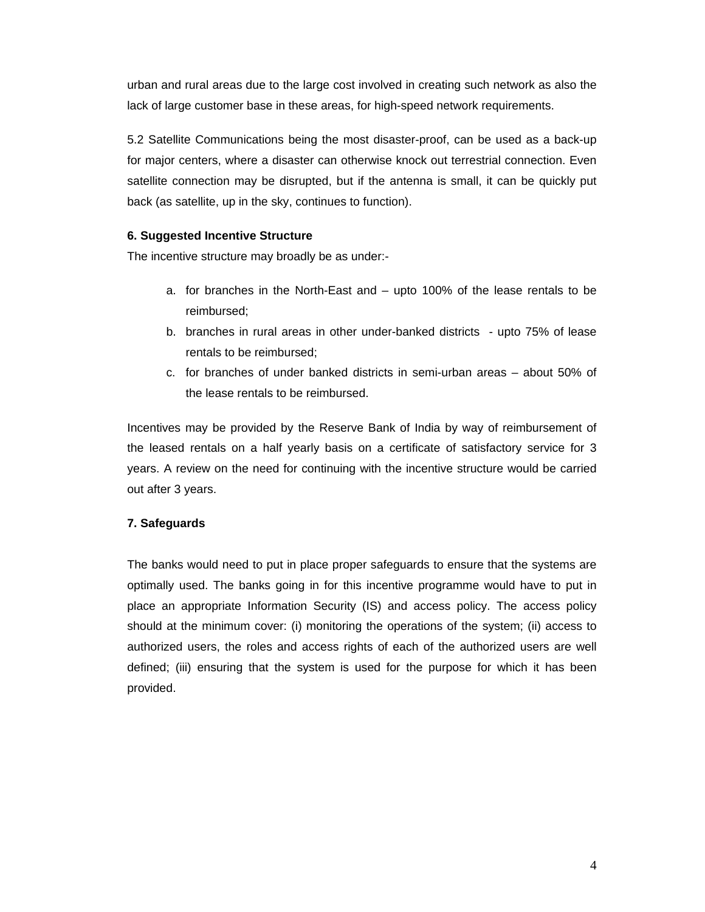urban and rural areas due to the large cost involved in creating such network as also the lack of large customer base in these areas, for high-speed network requirements.

5.2 Satellite Communications being the most disaster-proof, can be used as a back-up for major centers, where a disaster can otherwise knock out terrestrial connection. Even satellite connection may be disrupted, but if the antenna is small, it can be quickly put back (as satellite, up in the sky, continues to function).

# **6. Suggested Incentive Structure**

The incentive structure may broadly be as under:-

- a. for branches in the North-East and upto 100% of the lease rentals to be reimbursed;
- b. branches in rural areas in other under-banked districts upto 75% of lease rentals to be reimbursed;
- c. for branches of under banked districts in semi-urban areas about 50% of the lease rentals to be reimbursed.

Incentives may be provided by the Reserve Bank of India by way of reimbursement of the leased rentals on a half yearly basis on a certificate of satisfactory service for 3 years. A review on the need for continuing with the incentive structure would be carried out after 3 years.

# **7. Safeguards**

The banks would need to put in place proper safeguards to ensure that the systems are optimally used. The banks going in for this incentive programme would have to put in place an appropriate Information Security (IS) and access policy. The access policy should at the minimum cover: (i) monitoring the operations of the system; (ii) access to authorized users, the roles and access rights of each of the authorized users are well defined; (iii) ensuring that the system is used for the purpose for which it has been provided.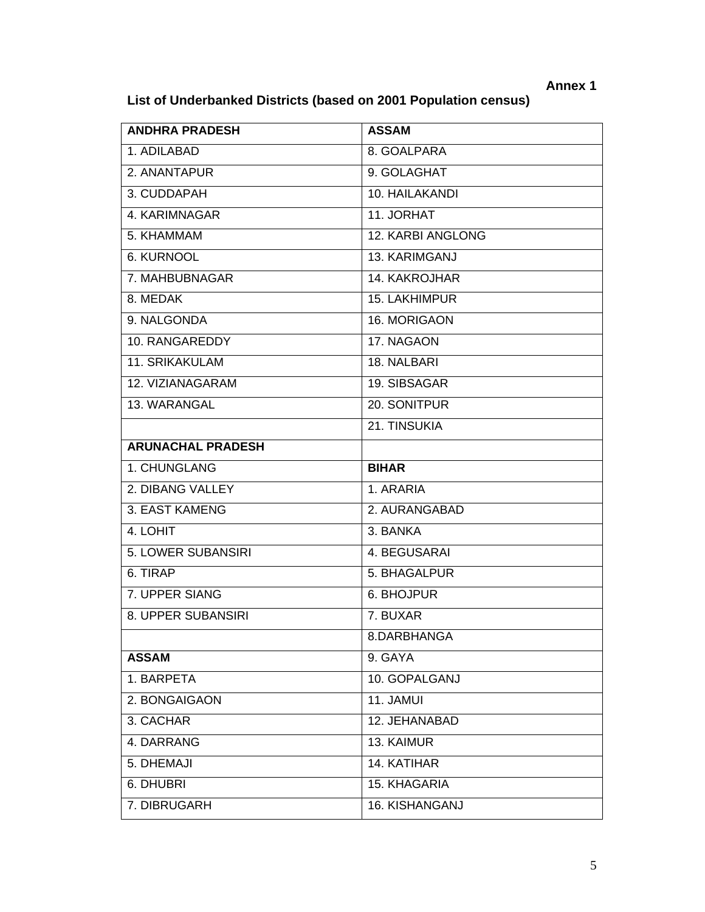# **List of Underbanked Districts (based on 2001 Population census)**

| <b>ANDHRA PRADESH</b>    | <b>ASSAM</b>      |
|--------------------------|-------------------|
| 1. ADILABAD              | 8. GOALPARA       |
| 2. ANANTAPUR             | 9. GOLAGHAT       |
| 3. CUDDAPAH              | 10. HAILAKANDI    |
| 4. KARIMNAGAR            | 11. JORHAT        |
| 5. KHAMMAM               | 12. KARBI ANGLONG |
| <b>6. KURNOOL</b>        | 13. KARIMGANJ     |
| 7. MAHBUBNAGAR           | 14. KAKROJHAR     |
| 8. MEDAK                 | 15. LAKHIMPUR     |
| 9. NALGONDA              | 16. MORIGAON      |
| 10. RANGAREDDY           | 17. NAGAON        |
| 11. SRIKAKULAM           | 18. NALBARI       |
| 12. VIZIANAGARAM         | 19. SIBSAGAR      |
| 13. WARANGAL             | 20. SONITPUR      |
|                          | 21. TINSUKIA      |
| <b>ARUNACHAL PRADESH</b> |                   |
| 1. CHUNGLANG             | <b>BIHAR</b>      |
| 2. DIBANG VALLEY         | 1. ARARIA         |
| 3. EAST KAMENG           | 2. AURANGABAD     |
| 4. LOHIT                 | 3. BANKA          |
| 5. LOWER SUBANSIRI       | 4. BEGUSARAI      |
| 6. TIRAP                 | 5. BHAGALPUR      |
| 7. UPPER SIANG           | 6. BHOJPUR        |
| 8. UPPER SUBANSIRI       | 7. BUXAR          |
|                          | 8.DARBHANGA       |
| <b>ASSAM</b>             | 9. GAYA           |
| 1. BARPETA               | 10. GOPALGANJ     |
| 2. BONGAIGAON            | 11. JAMUI         |
| 3. CACHAR                | 12. JEHANABAD     |
| 4. DARRANG               | 13. KAIMUR        |
| 5. DHEMAJI               | 14. KATIHAR       |
| 6. DHUBRI                | 15. KHAGARIA      |
| 7. DIBRUGARH             | 16. KISHANGANJ    |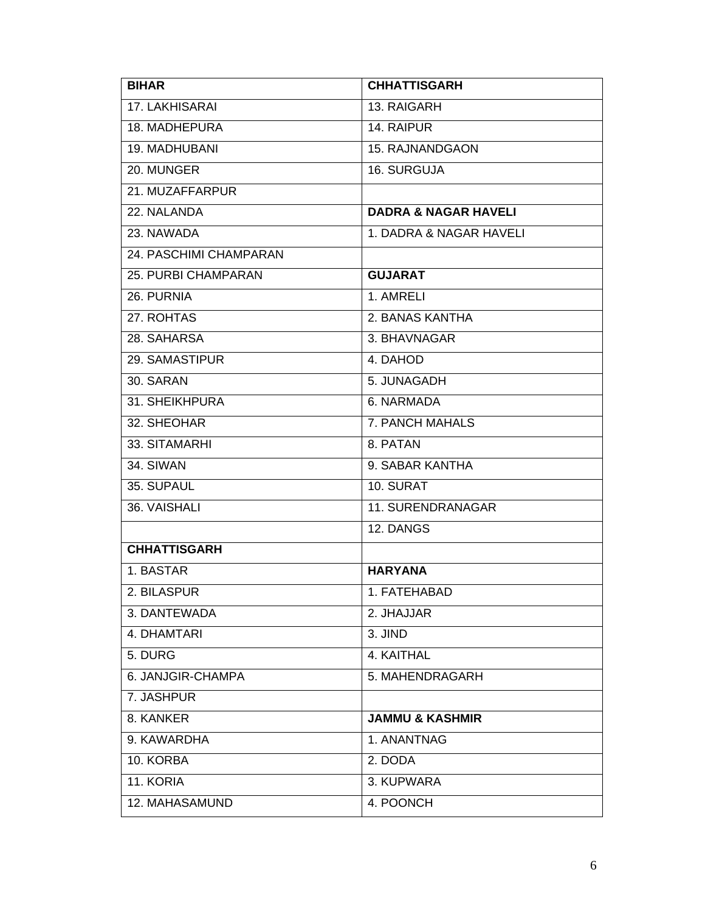| <b>BIHAR</b>           | <b>CHHATTISGARH</b>             |
|------------------------|---------------------------------|
| 17. LAKHISARAI         | 13. RAIGARH                     |
| 18. MADHEPURA          | 14. RAIPUR                      |
| 19. MADHUBANI          | 15. RAJNANDGAON                 |
| 20. MUNGER             | 16. SURGUJA                     |
| 21. MUZAFFARPUR        |                                 |
| 22. NALANDA            | <b>DADRA &amp; NAGAR HAVELI</b> |
| 23. NAWADA             | 1. DADRA & NAGAR HAVELI         |
| 24. PASCHIMI CHAMPARAN |                                 |
| 25. PURBI CHAMPARAN    | <b>GUJARAT</b>                  |
| 26. PURNIA             | 1. AMRELI                       |
| 27. ROHTAS             | 2. BANAS KANTHA                 |
| 28. SAHARSA            | 3. BHAVNAGAR                    |
| 29. SAMASTIPUR         | 4. DAHOD                        |
| 30. SARAN              | 5. JUNAGADH                     |
| 31. SHEIKHPURA         | 6. NARMADA                      |
| 32. SHEOHAR            | 7. PANCH MAHALS                 |
| 33. SITAMARHI          | 8. PATAN                        |
| 34. SIWAN              | 9. SABAR KANTHA                 |
| 35. SUPAUL             | 10. SURAT                       |
| 36. VAISHALI           | 11. SURENDRANAGAR               |
|                        | 12. DANGS                       |
| <b>CHHATTISGARH</b>    |                                 |
| 1. BASTAR              | <b>HARYANA</b>                  |
| 2. BILASPUR            | 1. FATEHABAD                    |
| 3. DANTEWADA           | 2. JHAJJAR                      |
| 4. DHAMTARI            | 3. JIND                         |
| 5. DURG                | 4. KAITHAL                      |
| 6. JANJGIR-CHAMPA      | 5. MAHENDRAGARH                 |
| 7. JASHPUR             |                                 |
| 8. KANKER              | <b>JAMMU &amp; KASHMIR</b>      |
| 9. KAWARDHA            | 1. ANANTNAG                     |
| 10. KORBA              | 2. DODA                         |
| 11. KORIA              | 3. KUPWARA                      |
| 12. MAHASAMUND         | 4. POONCH                       |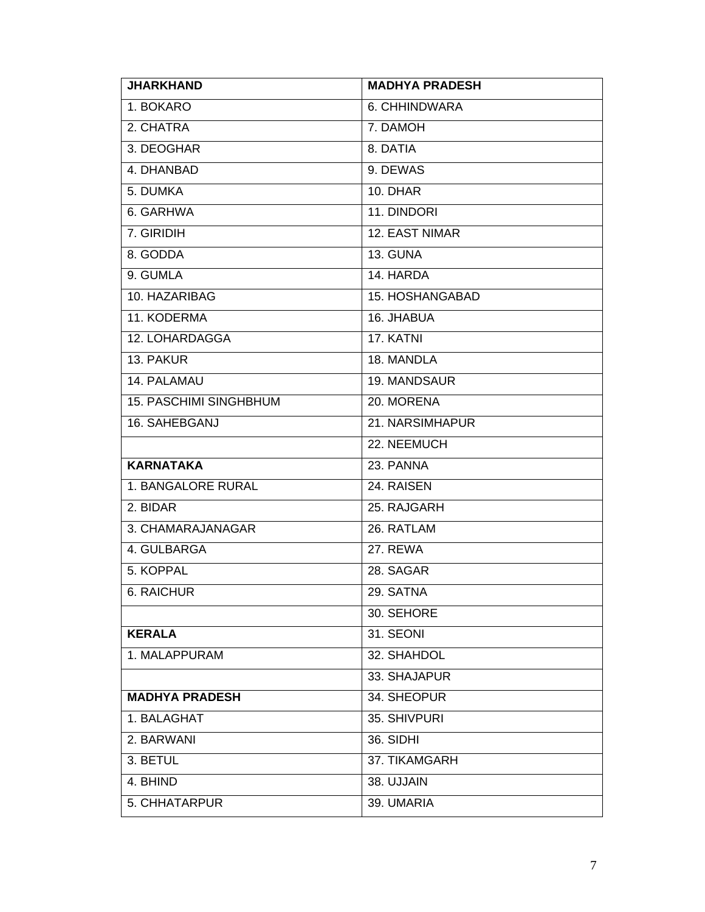| <b>JHARKHAND</b>              | <b>MADHYA PRADESH</b> |
|-------------------------------|-----------------------|
| 1. BOKARO                     | 6. CHHINDWARA         |
| 2. CHATRA                     | 7. DAMOH              |
| 3. DEOGHAR                    | 8. DATIA              |
| 4. DHANBAD                    | 9. DEWAS              |
| 5. DUMKA                      | 10. DHAR              |
| 6. GARHWA                     | 11. DINDORI           |
| 7. GIRIDIH                    | 12. EAST NIMAR        |
| 8. GODDA                      | 13. GUNA              |
| 9. GUMLA                      | 14. HARDA             |
| 10. HAZARIBAG                 | 15. HOSHANGABAD       |
| 11. KODERMA                   | 16. JHABUA            |
| 12. LOHARDAGGA                | 17. KATNI             |
| 13. PAKUR                     | 18. MANDLA            |
| 14. PALAMAU                   | 19. MANDSAUR          |
| <b>15. PASCHIMI SINGHBHUM</b> | 20. MORENA            |
| 16. SAHEBGANJ                 | 21. NARSIMHAPUR       |
|                               | 22. NEEMUCH           |
| <b>KARNATAKA</b>              | 23. PANNA             |
| 1. BANGALORE RURAL            | 24. RAISEN            |
| 2. BIDAR                      | 25. RAJGARH           |
| 3. CHAMARAJANAGAR             | 26. RATLAM            |
| 4. GULBARGA                   | 27. REWA              |
| 5. KOPPAL                     | 28. SAGAR             |
| 6. RAICHUR                    | 29. SATNA             |
|                               | 30. SEHORE            |
| <b>KERALA</b>                 | 31. SEONI             |
| 1. MALAPPURAM                 | 32. SHAHDOL           |
|                               | 33. SHAJAPUR          |
| <b>MADHYA PRADESH</b>         | 34. SHEOPUR           |
| 1. BALAGHAT                   | 35. SHIVPURI          |
| 2. BARWANI                    | 36. SIDHI             |
| 3. BETUL                      | 37. TIKAMGARH         |
| 4. BHIND                      | 38. UJJAIN            |
| 5. CHHATARPUR                 | 39. UMARIA            |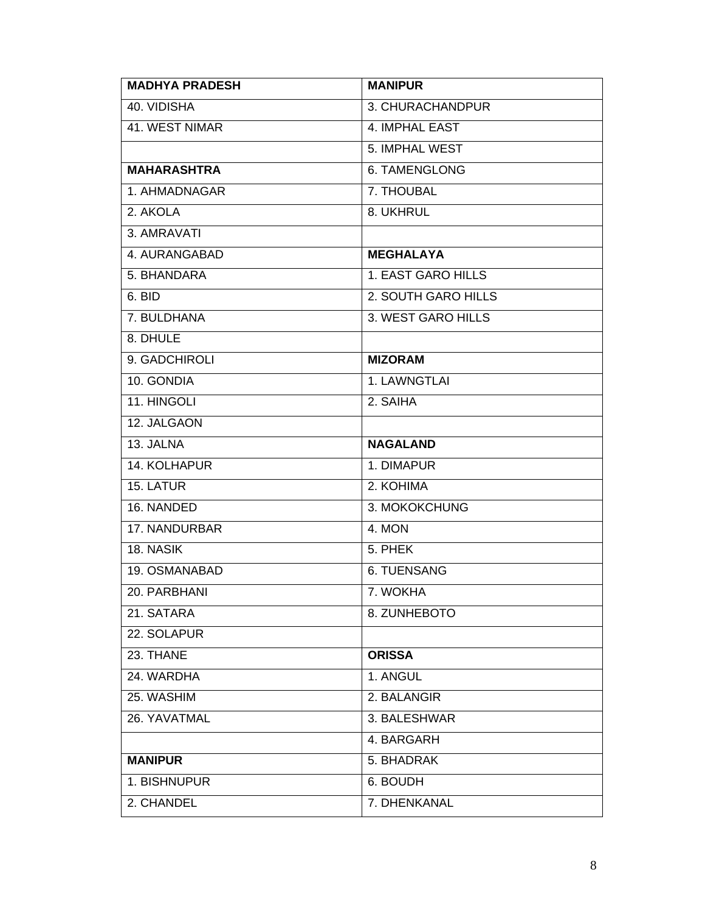| <b>MADHYA PRADESH</b> | <b>MANIPUR</b>      |
|-----------------------|---------------------|
| 40. VIDISHA           | 3. CHURACHANDPUR    |
| 41. WEST NIMAR        | 4. IMPHAL EAST      |
|                       | 5. IMPHAL WEST      |
| <b>MAHARASHTRA</b>    | 6. TAMENGLONG       |
| 1. AHMADNAGAR         | 7. THOUBAL          |
| 2. AKOLA              | 8. UKHRUL           |
| 3. AMRAVATI           |                     |
| 4. AURANGABAD         | <b>MEGHALAYA</b>    |
| 5. BHANDARA           | 1. EAST GARO HILLS  |
| 6. BID                | 2. SOUTH GARO HILLS |
| 7. BULDHANA           | 3. WEST GARO HILLS  |
| 8. DHULE              |                     |
| 9. GADCHIROLI         | <b>MIZORAM</b>      |
| 10. GONDIA            | 1. LAWNGTLAI        |
| 11. HINGOLI           | 2. SAIHA            |
| 12. JALGAON           |                     |
| 13. JALNA             | <b>NAGALAND</b>     |
| <b>14. KOLHAPUR</b>   | 1. DIMAPUR          |
| 15. LATUR             | 2. KOHIMA           |
| 16. NANDED            | 3. MOKOKCHUNG       |
| 17. NANDURBAR         | 4. MON              |
| 18. NASIK             | 5. PHEK             |
| 19. OSMANABAD         | <b>6. TUENSANG</b>  |
| 20. PARBHANI          | 7. WOKHA            |
| 21. SATARA            | 8. ZUNHEBOTO        |
| 22. SOLAPUR           |                     |
| 23. THANE             | <b>ORISSA</b>       |
| 24. WARDHA            | 1. ANGUL            |
| 25. WASHIM            | 2. BALANGIR         |
| 26. YAVATMAL          | 3. BALESHWAR        |
|                       | 4. BARGARH          |
| <b>MANIPUR</b>        | 5. BHADRAK          |
| 1. BISHNUPUR          | 6. BOUDH            |
| 2. CHANDEL            | 7. DHENKANAL        |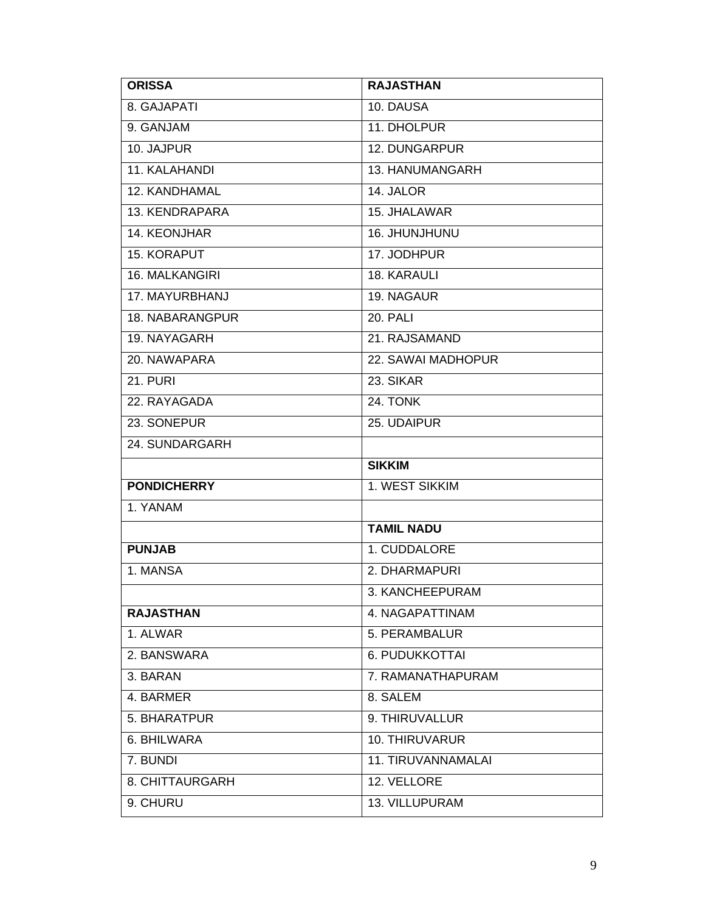| <b>ORISSA</b>          | <b>RAJASTHAN</b>     |
|------------------------|----------------------|
| 8. GAJAPATI            | 10. DAUSA            |
| 9. GANJAM              | 11. DHOLPUR          |
| 10. JAJPUR             | <b>12. DUNGARPUR</b> |
| 11. KALAHANDI          | 13. HANUMANGARH      |
| 12. KANDHAMAL          | 14. JALOR            |
| 13. KENDRAPARA         | 15. JHALAWAR         |
| 14. KEONJHAR           | 16. JHUNJHUNU        |
| 15. KORAPUT            | 17. JODHPUR          |
| 16. MALKANGIRI         | 18. KARAULI          |
| 17. MAYURBHANJ         | 19. NAGAUR           |
| <b>18. NABARANGPUR</b> | 20. PALI             |
| 19. NAYAGARH           | 21. RAJSAMAND        |
| 20. NAWAPARA           | 22. SAWAI MADHOPUR   |
| <b>21. PURI</b>        | 23. SIKAR            |
| 22. RAYAGADA           | <b>24. TONK</b>      |
| 23. SONEPUR            | 25. UDAIPUR          |
| 24. SUNDARGARH         |                      |
|                        | <b>SIKKIM</b>        |
| <b>PONDICHERRY</b>     | 1. WEST SIKKIM       |
| 1. YANAM               |                      |
|                        | <b>TAMIL NADU</b>    |
| <b>PUNJAB</b>          | 1. CUDDALORE         |
| 1. MANSA               | 2. DHARMAPURI        |
|                        | 3. KANCHEEPURAM      |
| <b>RAJASTHAN</b>       | 4. NAGAPATTINAM      |
| 1. ALWAR               | 5. PERAMBALUR        |
| 2. BANSWARA            | 6. PUDUKKOTTAI       |
| 3. BARAN               | 7. RAMANATHAPURAM    |
| 4. BARMER              | 8. SALEM             |
| 5. BHARATPUR           | 9. THIRUVALLUR       |
| 6. BHILWARA            | 10. THIRUVARUR       |
| 7. BUNDI               | 11. TIRUVANNAMALAI   |
| 8. CHITTAURGARH        | 12. VELLORE          |
| 9. CHURU               | 13. VILLUPURAM       |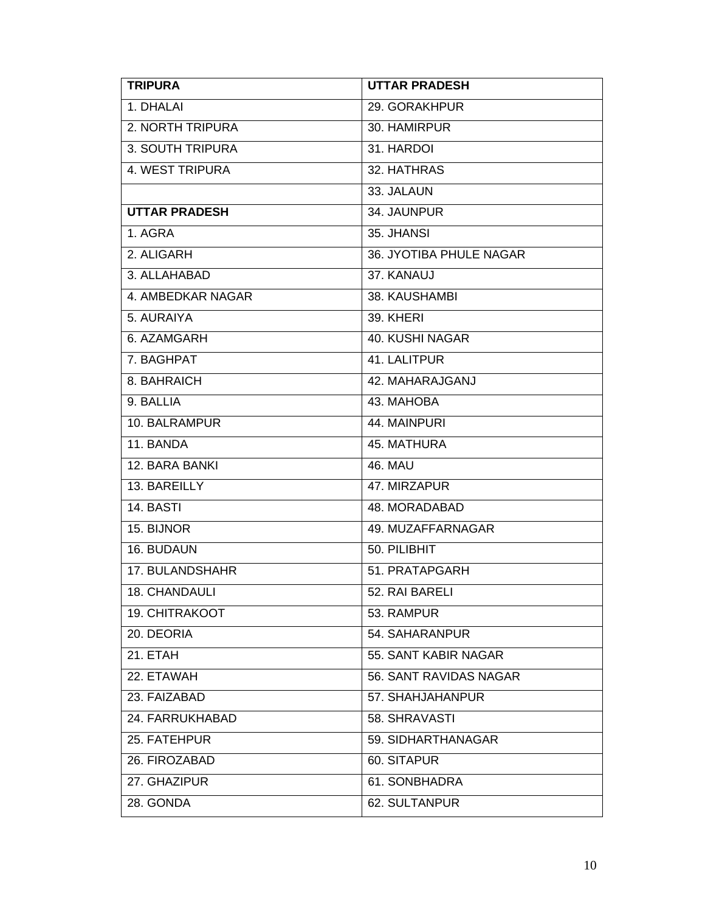| <b>TRIPURA</b>       | <b>UTTAR PRADESH</b>    |
|----------------------|-------------------------|
| 1. DHALAI            | 29. GORAKHPUR           |
| 2. NORTH TRIPURA     | 30. HAMIRPUR            |
| 3. SOUTH TRIPURA     | 31. HARDOI              |
| 4. WEST TRIPURA      | 32. HATHRAS             |
|                      | 33. JALAUN              |
| <b>UTTAR PRADESH</b> | 34. JAUNPUR             |
| 1. AGRA              | 35. JHANSI              |
| 2. ALIGARH           | 36. JYOTIBA PHULE NAGAR |
| 3. ALLAHABAD         | 37. KANAUJ              |
| 4. AMBEDKAR NAGAR    | 38. KAUSHAMBI           |
| 5. AURAIYA           | 39. KHERI               |
| 6. AZAMGARH          | <b>40. KUSHI NAGAR</b>  |
| 7. BAGHPAT           | 41. LALITPUR            |
| 8. BAHRAICH          | 42. MAHARAJGANJ         |
| 9. BALLIA            | 43. MAHOBA              |
| 10. BALRAMPUR        | 44. MAINPURI            |
| 11. BANDA            | 45. MATHURA             |
| 12. BARA BANKI       | <b>46. MAU</b>          |
| 13. BAREILLY         | 47. MIRZAPUR            |
| <b>14. BASTI</b>     | 48. MORADABAD           |
| 15. BIJNOR           | 49. MUZAFFARNAGAR       |
| 16. BUDAUN           | 50. PILIBHIT            |
| 17. BULANDSHAHR      | 51. PRATAPGARH          |
| 18. CHANDAULI        | 52. RAI BARELI          |
| 19. CHITRAKOOT       | 53. RAMPUR              |
| 20. DEORIA           | 54. SAHARANPUR          |
| 21. ETAH             | 55. SANT KABIR NAGAR    |
| 22. ETAWAH           | 56. SANT RAVIDAS NAGAR  |
| 23. FAIZABAD         | 57. SHAHJAHANPUR        |
| 24. FARRUKHABAD      | 58. SHRAVASTI           |
| 25. FATEHPUR         | 59. SIDHARTHANAGAR      |
| 26. FIROZABAD        | 60. SITAPUR             |
| 27. GHAZIPUR         | 61. SONBHADRA           |
| 28. GONDA            | 62. SULTANPUR           |